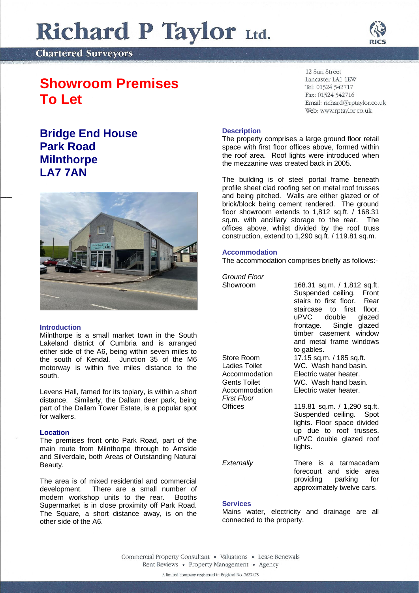# Richard P Taylor Ltd.

**Chartered Surveyors** 

## **Showroom Premises To Let**

### **Bridge End House Park Road Milnthorpe LA7 7AN**



#### **Introduction**

Milnthorpe is a small market town in the South Lakeland district of Cumbria and is arranged either side of the A6, being within seven miles to the south of Kendal. Junction 35 of the M6 motorway is within five miles distance to the south.

Levens Hall, famed for its topiary, is within a short distance. Similarly, the Dallam deer park, being part of the Dallam Tower Estate, is a popular spot for walkers.

#### **Location**

The premises front onto Park Road, part of the main route from Milnthorpe through to Arnside and Silverdale, both Areas of Outstanding Natural Beauty.

The area is of mixed residential and commercial development. There are a small number of modern workshop units to the rear. Booths Supermarket is in close proximity off Park Road. The Square, a short distance away, is on the other side of the A6.

12 Sun Street Lancaster LA1 1EW Tel: 01524 542717 Fax: 01524 542716 Email: richard@rptaylor.co.uk Web: www.rptaylor.co.uk

#### **Description**

The property comprises a large ground floor retail space with first floor offices above, formed within the roof area. Roof lights were introduced when the mezzanine was created back in 2005.

The building is of steel portal frame beneath profile sheet clad roofing set on metal roof trusses and being pitched. Walls are either glazed or of brick/block being cement rendered. The ground floor showroom extends to 1,812 sq.ft. / 168.31 sq.m. with ancillary storage to the rear. The offices above, whilst divided by the roof truss construction, extend to 1,290 sq.ft. / 119.81 sq.m.

#### **Accommodation**

The accommodation comprises briefly as follows:-

*Ground Floor*

| Showroom<br>Store Room<br>Ladies Toilet<br>Accommodation<br><b>Gents Toilet</b><br>Accommodation<br><b>First Floor</b> | 168.31 sq.m. / 1,812 sq.ft.<br>Suspended ceiling. Front<br>stairs to first floor. Rear<br>staircase to first floor.<br>uPVC double glazed<br>frontage. Single glazed<br>timber casement window<br>and metal frame windows<br>to gables.<br>17.15 sq.m. / 185 sq.ft.<br>WC. Wash hand basin.<br>Electric water heater.<br>WC. Wash hand basin.<br>Electric water heater. |
|------------------------------------------------------------------------------------------------------------------------|-------------------------------------------------------------------------------------------------------------------------------------------------------------------------------------------------------------------------------------------------------------------------------------------------------------------------------------------------------------------------|
| Offices                                                                                                                | 119.81 sq.m. / 1,290 sq.ft.<br>Suspended ceiling. Spot<br>lights. Floor space divided<br>up due to roof trusses.<br>uPVC double glazed roof<br>lights.                                                                                                                                                                                                                  |

*Externally* There is a tarmacadam forecourt and side area providing parking for approximately twelve cars.

#### **Services**

Mains water, electricity and drainage are all connected to the property.

Commercial Property Consultant . Valuations . Lease Renewals Rent Reviews · Property Management · Agency